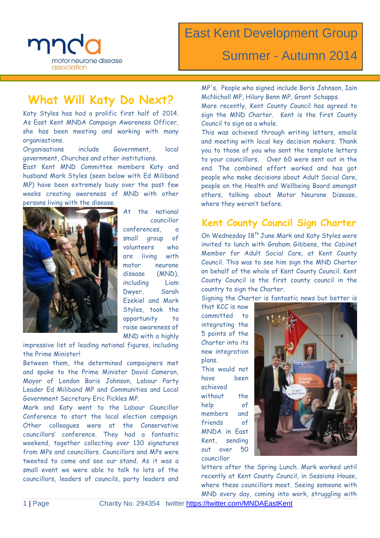

### Summer - Autumn 2014

### **What Will Katy Do Next?**

Katy Styles has had a prolific first half of 2014. As East Kent MNDA Campaign Awareness Officer, she has been meeting and working with many organisations.

Organisations include Government, local government, Churches and other institutions.

**E**ast Kent MND Committee members Katy and husband Mark Styles (seen below with Ed Miliband MP) have been extremely busy over the past few weeks creating awareness of MND with other persons living with the disease.



At the national councillor conferences, a small group of volunteers who are living with motor neurone disease (MND), including Liam Dwyer, Sarah Ezekiel and Mark Styles, took the opportunity to raise awareness of MND with a highly

impressive list of leading national figures, including the Prime Minister!

Between them, the determined campaigners met and spoke to the Prime Minister David Cameron, Mayor of London Boris Johnson, Labour Party Leader Ed Miliband MP and Communities and Local Government Secretary Eric Pickles MP.

Mark and Katy went to the Labour Councillor Conference to start the local election campaign. Other colleagues were at the Conservative councillors' conference. They had a fantastic weekend, together collecting over 130 signatures from MPs and councillors. Councillors and MPs were tweeted to come and see our stand. As it was a small event we were able to talk to lots of the councillors, leaders of councils, party leaders and

MP's. People who signed include Boris Johnson, Iain McNicholl MP, Hilary Benn MP, Grant Schapps.

More recently, Kent County Council has agreed to sign the MND Charter. Kent is the first County Council to sign as a whole.

This was achieved through writing letters, emails and meeting with local key decision makers. Thank you to those of you who sent the template letters to your councillors. Over 60 were sent out in the end. The combined effort worked and has got people who make decisions about Adult Social Care, people on the Health and Wellbeing Board amongst others, talking about Motor Neurone Disease, where they weren't before.

#### **Kent County Council Sign Charter**

On Wednesday 18<sup>th</sup> June Mark and Katy Styles were invited to lunch with Graham Gibbens, the Cabinet Member for Adult Social Care, at Kent County Council. This was to see him sign the MND Charter on behalf of the whole of Kent County Council. Kent County Council is the first county council in the country to sign the Charter.

Signing the Charter is fantastic news but better is

that KCC is now committed to integrating the 5 points of the Charter into its new integration plans.

This would not have been achieved without the help of members and friends of MNDA in East Kent, sending out over 50 councillor



letters after the Spring Lunch. Mark worked until recently at Kent County Council, in Sessions House, where these councillors meet. Seeing someone with MND every day, coming into work, struggling with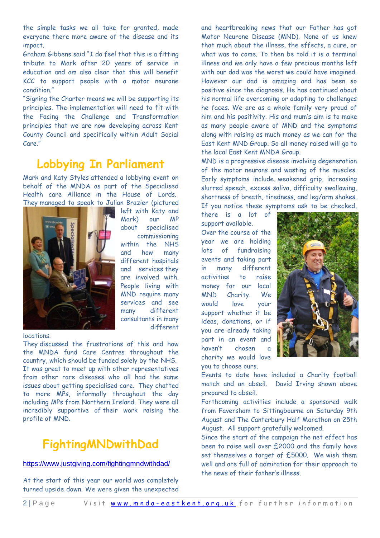the simple tasks we all take for granted, made everyone there more aware of the disease and its impact.

Graham Gibbens said "I do feel that this is a fitting tribute to Mark after 20 years of service in education and am also clear that this will benefit KCC to support people with a motor neurone condition."

"Signing the Charter means we will be supporting its principles. The implementation will need to fit with the Facing the Challenge and Transformation principles that we are now developing across Kent County Council and specifically within Adult Social Care."

### **Lobbying In Parliament**

Mark and Katy Styles attended a lobbying event on behalf of the MNDA as part of the Specialised Health care Alliance in the House of Lords. They managed to speak to Julian Brazier (pictured



left with Katy and Mark) our MP about specialised commissioning within the NHS and how many different hospitals and services they are involved with. People living with MND require many services and see many different consultants in many different

locations.

They discussed the frustrations of this and how the MNDA fund Care Centres throughout the country, which should be funded solely by the NHS. It was great to meet up with other representatives from other rare diseases who all had the same issues about getting specialised care. They chatted to more MPs, informally throughout the day including MPs from Northern Ireland. They were all incredibly supportive of their work raising the profile of MND.

### **FightingMNDwithDad**

#### <https://www.justgiving.com/fightingmndwithdad/>

At the start of this year our world was completely turned upside down. We were given the unexpected

and heartbreaking news that our Father has got Motor Neurone Disease (MND). None of us knew that much about the illness, the effects, a cure, or what was to come. To then be told it is a terminal illness and we only have a few precious months left with our dad was the worst we could have imagined. However our dad is amazing and has been so positive since the diagnosis. He has continued about his normal life overcoming or adapting to challenges he faces. We are as a whole family very proud of him and his positivity. His and mum's aim is to make as many people aware of MND and the symptoms along with raising as much money as we can for the East Kent MND Group. So all money raised will go to the local East Kent MNDA Group.

MND is a progressive disease involving degeneration of the motor neurons and wasting of the muscles. Early symptoms include…weakened grip, increasing slurred speech, excess saliva, difficulty swallowing, shortness of breath, tiredness, and leg/arm shakes. If you notice these symptoms ask to be checked,

there is a lot of support available. Over the course of the year we are holding lots of fundraising events and taking part in many different activities to raise money for our local MND Charity. We would love your support whether it be ideas, donations, or if you are already taking part in an event and haven't chosen charity we would love you to choose ours.



Events to date have included a Charity football match and an abseil. David Irving shown above prepared to abseil.

Forthcoming activities include a sponsored walk from Faversham to Sittingbourne on Saturday 9th August and The Canterbury Half Marathon on 25th August. All support gratefully welcomed.

Since the start of the campaign the net effect has been to raise well over £2000 and the family have set themselves a target of £5000. We wish them well and are full of admiration for their approach to the news of their father's illness.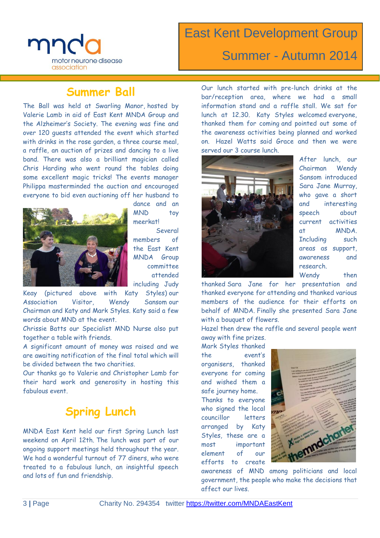

# East Kent Development Group Summer - Autumn 2014

### **Summer Ball**

The Ball was held at Swarling Manor, hosted by Valerie Lamb in aid of East Kent MNDA Group and the Alzheimer's Society. The evening was fine and over 120 guests attended the event which started with drinks in the rose garden, a three course meal, a raffle, an auction of prizes and dancing to a live band. There was also a brilliant magician called Chris Harding who went round the tables doing some excellent magic tricks! The events manager Philippa masterminded the auction and encouraged everyone to bid even auctioning off her husband to



dance and an MND toy meerkat!

Several members of the East Kent MNDA Group committee attended including Judy

Keay (pictured above with Katy Styles) our Association Visitor, Wendy Sansom our Chairman and Katy and Mark Styles. Katy said a few words about MND at the event.

Chrissie Batts our Specialist MND Nurse also put together a table with friends.

A significant amount of money was raised and we are awaiting notification of the final total which will be divided between the two charities.

Our thanks go to Valerie and Christopher Lamb for their hard work and generosity in hosting this fabulous event.

### **Spring Lunch**

MNDA East Kent held our first Spring Lunch last weekend on April 12th. The lunch was part of our ongoing support meetings held throughout the year. We had a wonderful turnout of 77 diners, who were treated to a fabulous lunch, an insightful speech and lots of fun and friendship.

Our lunch started with pre-lunch drinks at the bar/reception area, where we had a small information stand and a raffle stall. We sat for lunch at 12.30. Katy Styles welcomed everyone, thanked them for coming and pointed out some of the awareness activities being planned and worked on. Hazel Watts said Grace and then we were served our 3 course lunch.



After lunch, our Chairman Wendy Sansom introduced Sara Jane Murray, who gave a short and interesting speech about current activities at MNDA. Including such areas as support, awareness and research. Wendy then

thanked Sara Jane for her presentation and thanked everyone for attending and thanked various members of the audience for their efforts on behalf of MNDA. Finally she presented Sara Jane with a bouquet of flowers.

Hazel then drew the raffle and several people went

away with fine prizes. Mark Styles thanked the event's organisers, thanked everyone for coming and wished them a safe journey home. Thanks to everyone who signed the local councillor letters arranged by Katy Styles, these are a most important element of our efforts to create



awareness of MND among politicians and local government, the people who make the decisions that affect our lives.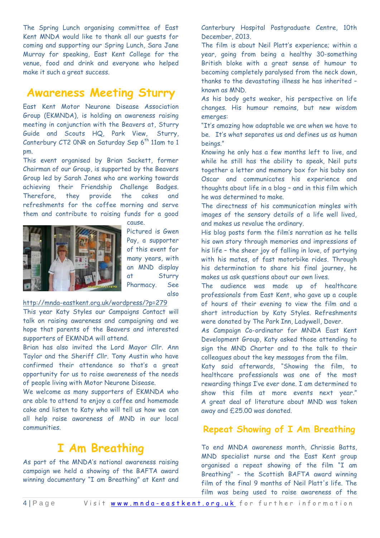The Spring Lunch organising committee of East Kent MNDA would like to thank all our guests for coming and supporting our Spring Lunch, Sara Jane Murray for speaking, East Kent College for the venue, food and drink and everyone who helped make it such a great success.

### **Awareness Meeting Sturry**

East Kent Motor Neurone Disease Association Group (EKMNDA), is holding an awareness raising meeting in conjunction with the Beavers at, Sturry Guide and Scouts HQ, Park View, Sturry, Canterbury CT2 ONR on Saturday Sep  $6<sup>th</sup>$  11am to 1 pm.

This event organised by Brian Sackett, former Chairman of our Group, is supported by the Beavers Group led by Sarah Jones who are working towards achieving their Friendship Challenge Badges. Therefore, they provide the cakes and refreshments for the coffee morning and serve them and contribute to raising funds for a good



cause. Pictured is Gwen Pay, a supporter of this event for many years, with an MND display at Sturry Pharmacy. See also

<http://mnda-eastkent.org.uk/wordpress/?p=279>

This year Katy Styles our Campaigns Contact will talk on raising awareness and campaigning and we hope that parents of the Beavers and interested supporters of EKMNDA will attend.

Brian has also invited the Lord Mayor Cllr. Ann Taylor and the Sheriff Cllr. Tony Austin who have confirmed their attendance so that's a great opportunity for us to raise awareness of the needs of people living with Motor Neurone Disease.

We welcome as many supporters of EKMNDA who are able to attend to enjoy a coffee and homemade cake and listen to Katy who will tell us how we can all help raise awareness of MND in our local communities.

### **I Am Breathing**

As part of the MNDA's national awareness raising campaign we held a showing of the BAFTA award winning documentary "I am Breathing" at Kent and

Canterbury Hospital Postgraduate Centre, 10th December, 2013.

The film is about Neil Platt's experience; within a year, going from being a healthy 30-something British bloke with a great sense of humour to becoming completely paralysed from the neck down, thanks to the devastating illness he has inherited – known as MND.

As his body gets weaker, his perspective on life changes. His humour remains, but new wisdom emerges:

"It's amazing how adaptable we are when we have to be. It's what separates us and defines us as human beings."

Knowing he only has a few months left to live, and while he still has the ability to speak, Neil puts together a letter and memory box for his baby son Oscar and communicates his experience and thoughts about life in a blog – and in this film which he was determined to make.

The directness of his communication mingles with images of the sensory details of a life well lived, and makes us revalue the ordinary.

His blog posts form the film's narration as he tells his own story through memories and impressions of his life – the sheer joy of falling in love, of partying with his mates, of fast motorbike rides. Through his determination to share his final journey, he makes us ask questions about our own lives.

The audience was made up of healthcare professionals from East Kent, who gave up a couple of hours of their evening to view the film and a short introduction by Katy Styles. Refreshments were donated by The Park Inn, Ladywell, Dover.

As Campaign Co-ordinator for MNDA East Kent Development Group, Katy asked those attending to sign the MND Charter and to the talk to their colleagues about the key messages from the film.

Katy said afterwards, "Showing the film, to healthcare professionals was one of the most rewarding things I've ever done. I am determined to show this film at more events next year." A great deal of literature about MND was taken away and £25.00 was donated.

#### **Repeat Showing of I Am Breathing**

To end MNDA awareness month, Chrissie Batts, MND specialist nurse and the East Kent group organised a repeat showing of the film "I am Breathing" - the Scottish BAFTA award winning film of the final 9 months of Neil Platt's life. The film was being used to raise awareness of the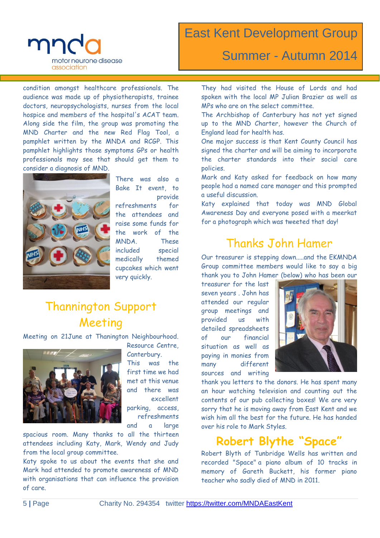

### East Kent Development Group

### Summer - Autumn 2014

condition amongst healthcare professionals. The audience was made up of physiotherapists, trainee doctors, neuropsychologists, nurses from the local hospice and members of the hospital's ACAT team. Along side the film, the group was promoting the MND Charter and the new Red Flag Tool, a pamphlet written by the MNDA and RCGP. This pamphlet highlights those symptoms GPs or health professionals may see that should get them to consider a diagnosis of MND.



There was also a Bake It event, to provide

refreshments for the attendees and raise some funds for the work of the MNDA. These included special medically themed cupcakes which went very quickly.

# Thannington Support Meeting

Meeting on 21June at Thanington Neighbourhood.



Resource Centre, Canterbury. This was the first time we had met at this venue and there was excellent

parking, access, refreshments

and a large spacious room. Many thanks to all the thirteen

attendees including Katy, Mark, Wendy and Judy from the local group committee.

Katy spoke to us about the events that she and Mark had attended to promote awareness of MND with organisations that can influence the provision of care.

They had visited the House of Lords and had spoken with the local MP Julian Brazier as well as MPs who are on the select committee.

The Archbishop of Canterbury has not yet signed up to the MND Charter, however the Church of England lead for health has.

One major success is that Kent County Council has signed the charter and will be aiming to incorporate the charter standards into their social care policies.

Mark and Katy asked for feedback on how many people had a named care manager and this prompted a useful discussion.

Katy explained that today was MND Global Awareness Day and everyone posed with a meerkat for a photograph which was tweeted that day!

### Thanks John Hamer

Our treasurer is stepping down.....and the EKMNDA Group committee members would like to say a big thank you to John Hamer (below) who has been our

treasurer for the last seven years . John has attended our regular group meetings and provided us with detailed spreadsheets of our financial situation as well as paying in monies from many different sources and writing



thank you letters to the donors. He has spent many an hour watching television and counting out the contents of our pub collecting boxes! We are very sorry that he is moving away from East Kent and we wish him all the best for the future. He has handed over his role to Mark Styles.

#### **Robert Blythe "Space"**

Robert Blyth of Tunbridge Wells has written and recorded "Space" a piano album of 10 tracks in memory of Gareth Buckett, his former piano teacher who sadly died of MND in 2011.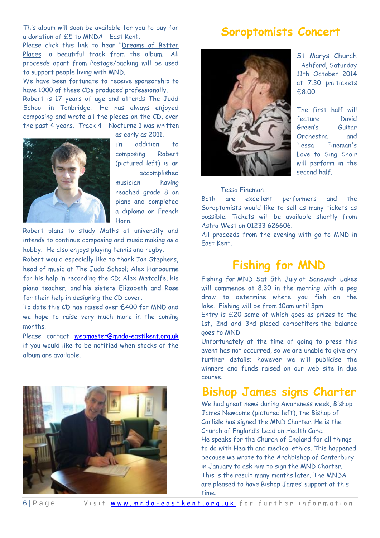This album will soon be available for you to buy for a donation of £5 to MNDA - East Kent.

Please click this link to hear ["Dreams of Better](http://mnda-eastkent.org.uk/music/Dreamsofbetterplaces.mp3)  [Places"](http://mnda-eastkent.org.uk/music/Dreamsofbetterplaces.mp3) a beautiful track from the album. All proceeds apart from Postage/packing will be used to support people living with MND.

We have been fortunate to receive sponsorship to have 1000 of these CDs produced professionally.

Robert is 17 years of age and attends The Judd School in Tonbridge. He has always enjoyed composing and wrote all the pieces on the CD, over the past 4 years. Track 4 - Nocturne 1 was written



as early as 2011.

In addition to composing Robert (pictured left) is an accomplished musician having reached grade 8 on piano and completed a diploma on French Horn.

Robert plans to study Maths at university and intends to continue composing and music making as a hobby. He also enjoys playing tennis and rugby.

Robert would especially like to thank Ian Stephens, head of music at The Judd School; Alex Harbourne for his help in recording the CD; Alex Metcalfe, his piano teacher; and his sisters Elizabeth and Rose for their help in designing the CD cover.

To date this CD has raised over £400 for MND and we hope to raise very much more in the coming months.

Please contact [webmaster@mnda-eastlkent.org.uk](mailto:webmaster@mnda-eastlkent.org.uk) if you would like to be notified when stocks of the album are available.



### **Soroptomists Concert**



St Marys Church Ashford, Saturday 11th October 2014 at 7.30 pm tickets £8.00.

The first half will feature David Green's Guitar Orchestra and Tessa Fineman's Love to Sing Choir will perform in the second half.

#### Tessa Fineman

Both are excellent performers and the Soroptomists would like to sell as many tickets as possible. Tickets will be available shortly from Astra West on 01233 626606.

All proceeds from the evening with go to MND in East Kent.

### **Fishing for MND**

Fishing for MND Sat 5th July at Sandwich Lakes will commence at 8.30 in the morning with a peg draw to determine where you fish on the lake. Fishing will be from 10am until 3pm.

Entry is £20 some of which goes as prizes to the 1st, 2nd and 3rd placed competitors the balance goes to MND

Unfortunately at the time of going to press this event has not occurred, so we are unable to give any further details; however we will publicise the winners and funds raised on our web site in due course.

#### **Bishop James signs Charter**

We had great news during Awareness week, Bishop James Newcome (pictured left), the Bishop of Carlisle has signed the MND Charter. He is the Church of England's Lead on Health Care. He speaks for the Church of England for all things to do with Health and medical ethics. This happened because we wrote to the Archbishop of Canterbury in January to ask him to sign the MND Charter. This is the result many months later. The MNDA are pleased to have Bishop James' support at this time.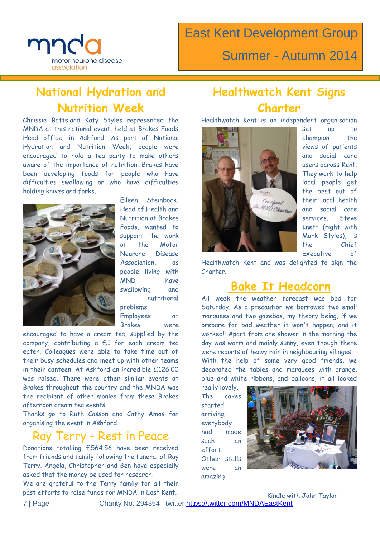

East Kent Development Group

Summer - Autumn 2014

# **National Hydration and Nutrition Week**

Chrissie Batts and Katy Styles represented the MNDA at this national event, held at Brakes Foods Head office, in Ashford. As part of National Hydration and Nutrition Week, people were encouraged to hold a tea party to make others aware of the importance of nutrition. Brakes have been developing foods for people who have difficulties swallowing or who have difficulties holding knives and forks.



Eileen Steinbock, Head of Health and Nutrition at Brakes Foods, wanted to support the work of the Motor Neurone Disease Association, as people living with MND have swallowing and nutritional problems.

Employees at Brakes were

encouraged to have a cream tea, supplied by the company, contributing a £1 for each cream tea eaten. Colleagues were able to take time out of their busy schedules and meet up with other teams in their canteen. At Ashford an incredible £126.00 was raised. There were other similar events at Brakes throughout the country and the MNDA was the recipient of other monies from these Brakes afternoon cream tea events.

Thanks go to Ruth Casson and Cathy Amos for organising the event in Ashford.

### Ray Terry - Rest in Peace

Donations totalling £564.56 have been received from friends and family following the funeral of Ray Terry. Angela, Christopher and Ben have especially asked that the money be used for research.

We are grateful to the Terry family for all their past efforts to raise funds for MNDA in East Kent.

### **Healthwatch Kent Signs Charter**

Healthwatch Kent is an independent organisation



set up to champion the views of patients and social care users across Kent. They work to help local people get the best out of their local health and social care services. Steve Inett (right with Mark Styles), is the Chief Executive of

Healthwatch Kent and was delighted to sign the Charter.

### **Bake It Headcorn**

All week the weather forecast was bad for Saturday. As a precaution we borrowed two small marquees and two gazebos, my theory being, if we prepare for bad weather it won't happen, and it worked!! Apart from one shower in the morning the day was warm and mainly sunny, even though there were reports of heavy rain in neighbouring villages.

With the help of some very good friends, we decorated the tables and marquees with orange, blue and white ribbons, and balloons, it all looked

really lovely. The cakes started arriving; everybody had made such an effort. Other stalls were an amazing



Kindle with John Taylor